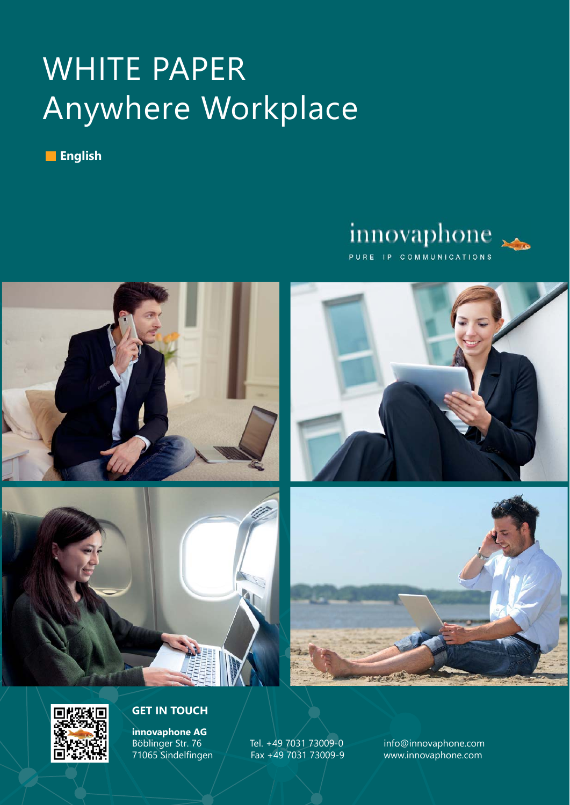# WHITE PAPER Anywhere Workplace

**English**

### innovaphone PURE IP COMMUNICATIONS







#### **GET IN TOUCH**

**innovaphone AG**

Böblinger Str. 76 Tel. +49 7031 73009-0 info@innovaphone.com Fax +49 7031 73009-9 www.innovaphone.com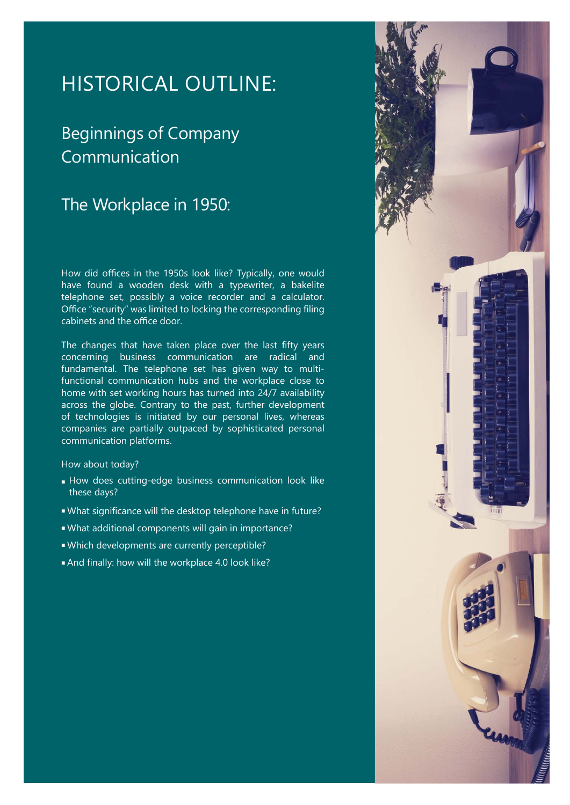### HISTORICAL OUTLINE:

### Beginnings of Company Communication

### The Workplace in 1950:

How did offices in the 1950s look like? Typically, one would have found a wooden desk with a typewriter, a bakelite telephone set, possibly a voice recorder and a calculator. Office "security" was limited to locking the corresponding filing cabinets and the office door.

The changes that have taken place over the last fifty years concerning business communication are radical and fundamental. The telephone set has given way to multifunctional communication hubs and the workplace close to home with set working hours has turned into 24/7 availability across the globe. Contrary to the past, further development of technologies is initiated by our personal lives, whereas companies are partially outpaced by sophisticated personal communication platforms.

#### How about today?

- How does cutting-edge business communication look like these days?
- . What significance will the desktop telephone have in future?
- What additional components will gain in importance?
- Which developments are currently perceptible?
- And finally: how will the workplace 4.0 look like?

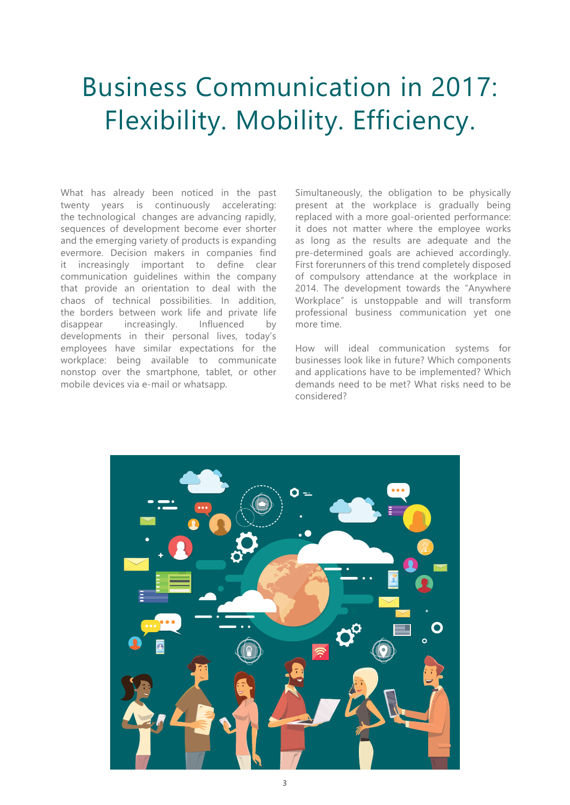# Business Communication in 2017: Flexibility. Mobility. Efficiency.

What has already been noticed in the past twenty years is continuously accelerating: the technological changes are advancing rapidly, sequences of development become ever shorter and the emerging variety of products is expanding evermore. Decision makers in companies find it increasingly important to define clear communication guidelines within the company that provide an orientation to deal with the chaos of technical possibilities. In addition, the borders between work life and private life disappear increasingly. Influenced by developments in their personal lives, today's employees have similar expectations for the workplace: being available to communicate nonstop over the smartphone, tablet, or other mobile devices via e-mail or whatsapp.

Simultaneously, the obligation to be physically present at the workplace is gradually being replaced with a more goal-oriented performance: it does not matter where the employee works as long as the results are adequate and the pre-determined goals are achieved accordingly. First forerunners of this trend completely disposed of compulsory attendance at the workplace in 2014. The development towards the "Anywhere Workplace" is unstoppable and will transform professional business communication yet one more time.

How will ideal communication systems for businesses look like in future? Which components and applications have to be implemented? Which demands need to be met? What risks need to be considered?

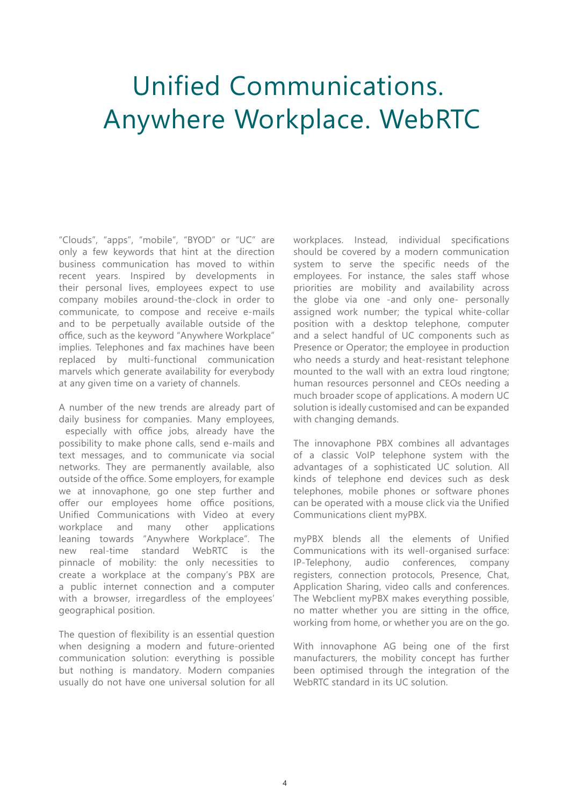# Unified Communications. Anywhere Workplace. WebRTC

"Clouds", "apps", "mobile", "BYOD" or "UC" are only a few keywords that hint at the direction business communication has moved to within recent years. Inspired by developments in their personal lives, employees expect to use company mobiles around-the-clock in order to communicate, to compose and receive e-mails and to be perpetually available outside of the office, such as the keyword "Anywhere Workplace" implies. Telephones and fax machines have been replaced by multi-functional communication marvels which generate availability for everybody at any given time on a variety of channels.

A number of the new trends are already part of daily business for companies. Many employees, especially with office jobs, already have the possibility to make phone calls, send e-mails and text messages, and to communicate via social networks. They are permanently available, also outside of the office. Some employers, for example we at innovaphone, go one step further and offer our employees home office positions, Unified Communications with Video at every workplace and many other applications leaning towards "Anywhere Workplace". The new real-time standard WebRTC is the pinnacle of mobility: the only necessities to create a workplace at the company's PBX are a public internet connection and a computer with a browser, irregardless of the employees' geographical position.

The question of flexibility is an essential question when designing a modern and future-oriented communication solution: everything is possible but nothing is mandatory. Modern companies usually do not have one universal solution for all workplaces. Instead, individual specifications should be covered by a modern communication system to serve the specific needs of the employees. For instance, the sales staff whose priorities are mobility and availability across the globe via one -and only one- personally assigned work number; the typical white-collar position with a desktop telephone, computer and a select handful of UC components such as Presence or Operator; the employee in production who needs a sturdy and heat-resistant telephone mounted to the wall with an extra loud ringtone; human resources personnel and CEOs needing a much broader scope of applications. A modern UC solution is ideally customised and can be expanded with changing demands.

The innovaphone PBX combines all advantages of a classic VoIP telephone system with the advantages of a sophisticated UC solution. All kinds of telephone end devices such as desk telephones, mobile phones or software phones can be operated with a mouse click via the Unified Communications client myPBX.

myPBX blends all the elements of Unified Communications with its well-organised surface: IP-Telephony, audio conferences, company registers, connection protocols, Presence, Chat, Application Sharing, video calls and conferences. The Webclient myPBX makes everything possible, no matter whether you are sitting in the office, working from home, or whether you are on the go.

With innovaphone AG being one of the first manufacturers, the mobility concept has further been optimised through the integration of the WebRTC standard in its UC solution.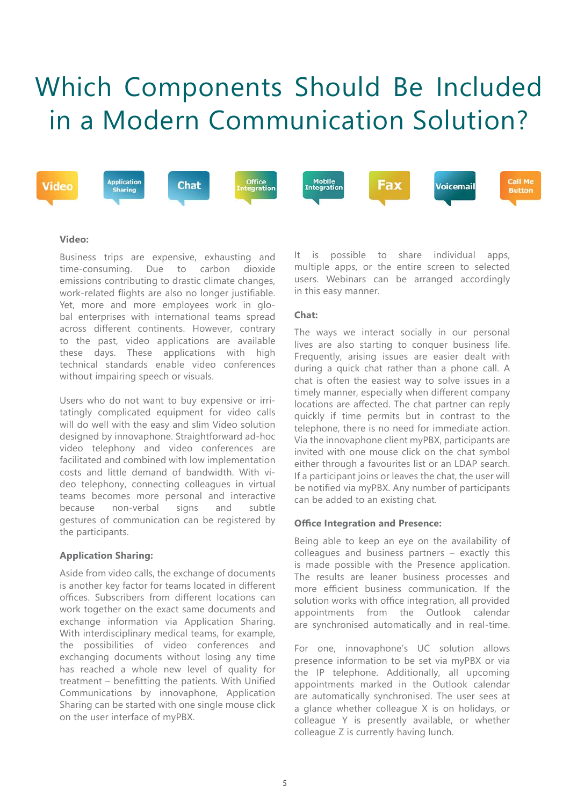# Which Components Should Be Included in a Modern Communication Solution?



#### **Video:**

Business trips are expensive, exhausting and time-consuming. Due to carbon dioxide emissions contributing to drastic climate changes, work-related flights are also no longer justifiable. Yet, more and more employees work in global enterprises with international teams spread across different continents. However, contrary to the past, video applications are available these days. These applications with high technical standards enable video conferences without impairing speech or visuals.

Users who do not want to buy expensive or irritatingly complicated equipment for video calls will do well with the easy and slim Video solution designed by innovaphone. Straightforward ad-hoc video telephony and video conferences are facilitated and combined with low implementation costs and little demand of bandwidth. With video telephony, connecting colleagues in virtual teams becomes more personal and interactive because non-verbal signs and subtle gestures of communication can be registered by the participants.

#### **Application Sharing:**

Aside from video calls, the exchange of documents is another key factor for teams located in different offices. Subscribers from different locations can work together on the exact same documents and exchange information via Application Sharing. With interdisciplinary medical teams, for example, the possibilities of video conferences and exchanging documents without losing any time has reached a whole new level of quality for treatment  $-$  benefitting the patients. With Unified Communications by innovaphone, Application Sharing can be started with one single mouse click on the user interface of myPBX.

It is possible to share individual apps, multiple apps, or the entire screen to selected users. Webinars can be arranged accordingly in this easy manner.

#### **Chat:**

The ways we interact socially in our personal lives are also starting to conquer business life. Frequently, arising issues are easier dealt with during a quick chat rather than a phone call. A chat is often the easiest way to solve issues in a timely manner, especially when different company locations are affected. The chat partner can reply quickly if time permits but in contrast to the telephone, there is no need for immediate action. Via the innovaphone client myPBX, participants are invited with one mouse click on the chat symbol either through a favourites list or an LDAP search. If a participant joins or leaves the chat, the user will be notified via myPBX. Any number of participants can be added to an existing chat.

#### **Office Integration and Presence:**

Being able to keep an eye on the availability of colleagues and business partners – exactly this is made possible with the Presence application. The results are leaner business processes and more efficient business communication. If the solution works with office integration, all provided appointments from the Outlook calendar are synchronised automatically and in real-time.

For one, innovaphone's UC solution allows presence information to be set via myPBX or via the IP telephone. Additionally, all upcoming appointments marked in the Outlook calendar are automatically synchronised. The user sees at a glance whether colleague X is on holidays, or colleague Y is presently available, or whether colleague Z is currently having lunch.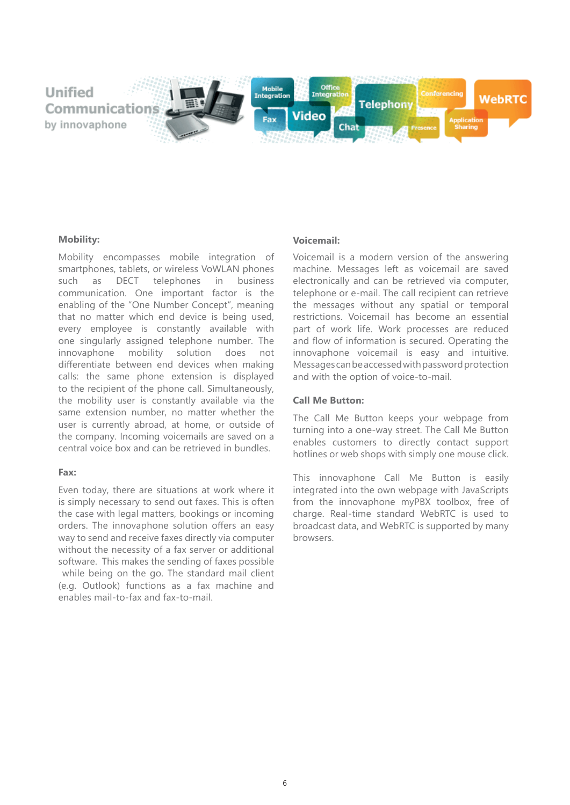

#### **Mobility:**

Mobility encompasses mobile integration of smartphones, tablets, or wireless VoWLAN phones such as DECT telephones in business communication. One important factor is the enabling of the "One Number Concept", meaning that no matter which end device is being used, every employee is constantly available with one singularly assigned telephone number. The innovaphone mobility solution does not differentiate between end devices when making calls: the same phone extension is displayed to the recipient of the phone call. Simultaneously, the mobility user is constantly available via the same extension number, no matter whether the user is currently abroad, at home, or outside of the company. Incoming voicemails are saved on a central voice box and can be retrieved in bundles.

#### **Fax:**

Even today, there are situations at work where it is simply necessary to send out faxes. This is often the case with legal matters, bookings or incoming orders. The innovaphone solution offers an easy way to send and receive faxes directly via computer without the necessity of a fax server or additional software. This makes the sending of faxes possible while being on the go. The standard mail client (e.g. Outlook) functions as a fax machine and enables mail-to-fax and fax-to-mail.

#### **Voicemail:**

Voicemail is a modern version of the answering machine. Messages left as voicemail are saved electronically and can be retrieved via computer, telephone or e-mail. The call recipient can retrieve the messages without any spatial or temporal restrictions. Voicemail has become an essential part of work life. Work processes are reduced and flow of information is secured. Operating the innovaphone voicemail is easy and intuitive. Messages can be accessed with password protection and with the option of voice-to-mail.

#### **Call Me Button:**

The Call Me Button keeps your webpage from turning into a one-way street. The Call Me Button enables customers to directly contact support hotlines or web shops with simply one mouse click.

This innovaphone Call Me Button is easily integrated into the own webpage with JavaScripts from the innovaphone myPBX toolbox, free of charge. Real-time standard WebRTC is used to broadcast data, and WebRTC is supported by many browsers.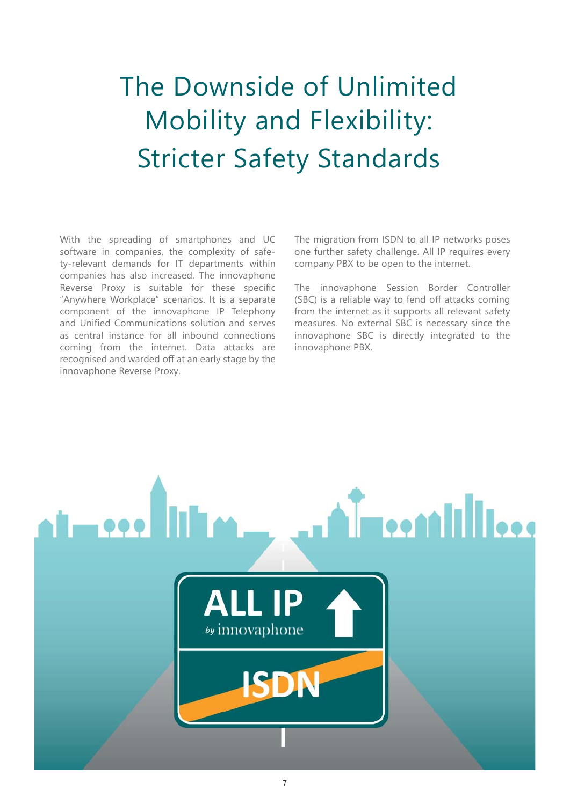# The Downside of Unlimited Mobility and Flexibility: Stricter Safety Standards

With the spreading of smartphones and UC software in companies, the complexity of safety-relevant demands for IT departments within companies has also increased. The innovaphone Reverse Proxy is suitable for these specific "Anywhere Workplace" scenarios. It is a separate component of the innovaphone IP Telephony and Unified Communications solution and serves as central instance for all inbound connections coming from the internet. Data attacks are recognised and warded off at an early stage by the innovaphone Reverse Proxy.

The migration from ISDN to all IP networks poses one further safety challenge. All IP requires every company PBX to be open to the internet.

The innovaphone Session Border Controller (SBC) is a reliable way to fend off attacks coming from the internet as it supports all relevant safety measures. No external SBC is necessary since the innovaphone SBC is directly integrated to the innovaphone PBX.

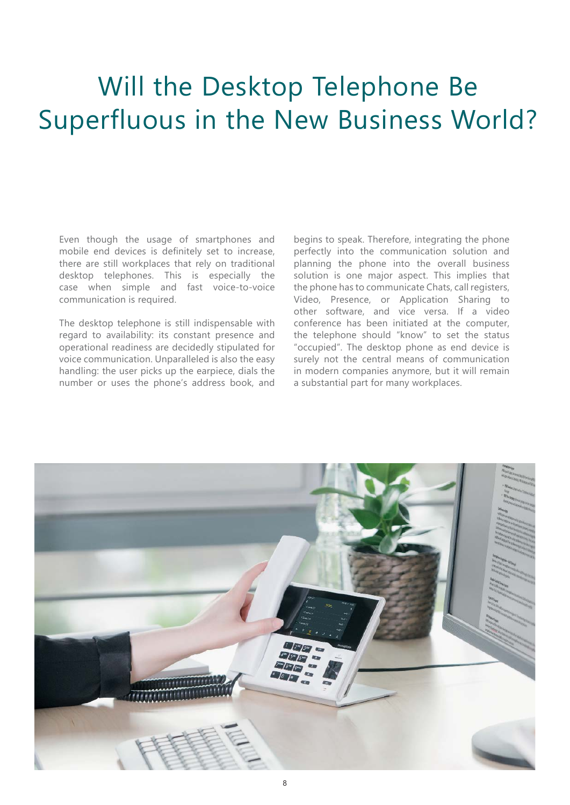# Will the Desktop Telephone Be Superfluous in the New Business World?

Even though the usage of smartphones and mobile end devices is definitely set to increase, there are still workplaces that rely on traditional desktop telephones. This is especially the case when simple and fast voice-to-voice communication is required.

The desktop telephone is still indispensable with regard to availability: its constant presence and operational readiness are decidedly stipulated for voice communication. Unparalleled is also the easy handling: the user picks up the earpiece, dials the number or uses the phone's address book, and

begins to speak. Therefore, integrating the phone perfectly into the communication solution and planning the phone into the overall business solution is one major aspect. This implies that the phone has to communicate Chats, call registers, Video, Presence, or Application Sharing to other software, and vice versa. If a video conference has been initiated at the computer, the telephone should "know" to set the status "occupied". The desktop phone as end device is surely not the central means of communication in modern companies anymore, but it will remain a substantial part for many workplaces.

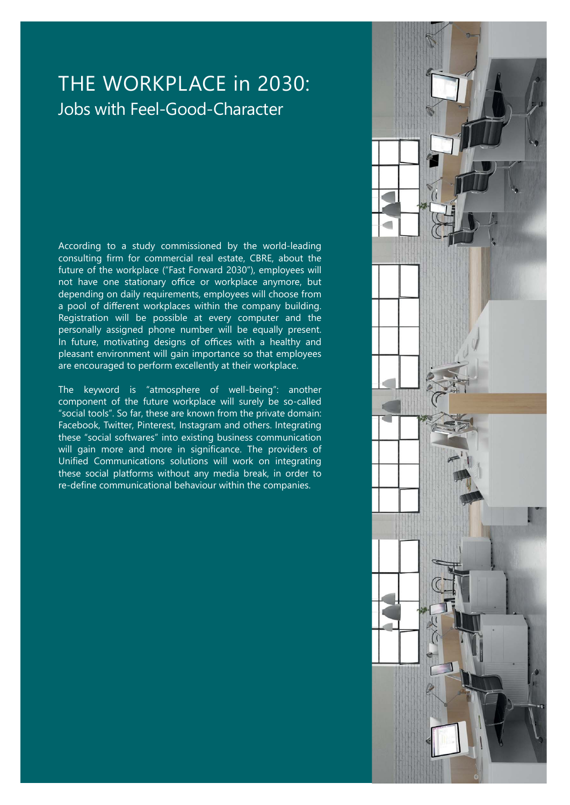### THE WORKPLACE in 2030: Jobs with Feel-Good-Character

According to a study commissioned by the world-leading consulting firm for commercial real estate, CBRE, about the future of the workplace ("Fast Forward 2030"), employees will not have one stationary office or workplace anymore, but depending on daily requirements, employees will choose from a pool of different workplaces within the company building. Registration will be possible at every computer and the personally assigned phone number will be equally present. In future, motivating designs of offices with a healthy and pleasant environment will gain importance so that employees are encouraged to perform excellently at their workplace.

The keyword is "atmosphere of well-being": another component of the future workplace will surely be so-called "social tools". So far, these are known from the private domain: Facebook, Twitter, Pinterest, Instagram and others. Integrating these "social softwares" into existing business communication will gain more and more in significance. The providers of Unified Communications solutions will work on integrating these social platforms without any media break, in order to re-define communicational behaviour within the companies.